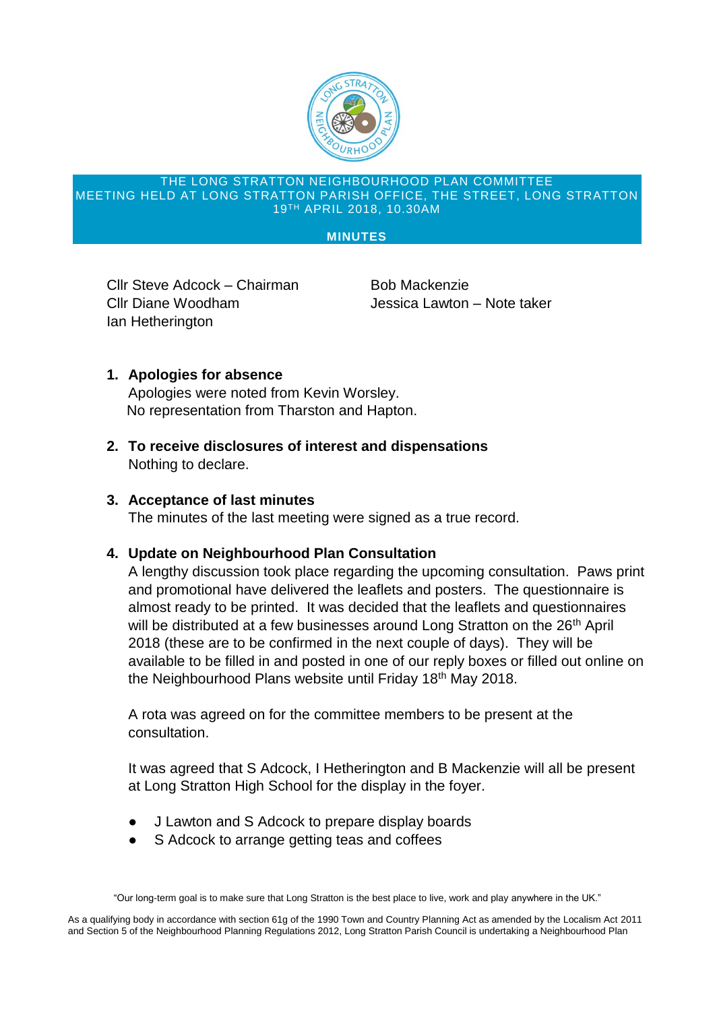

### THE LONG STRATTON NEIGHBOURHOOD PLAN COMMITTEE MEETING HELD AT LONG STRATTON PARISH OFFICE, THE STREET, LONG STRATTON 19TH APRIL 2018, 10.30AM

### **MINUTES**

Cllr Steve Adcock – Chairman Bob Mackenzie Cllr Diane Woodham Jessica Lawton – Note taker Ian Hetherington

# **1. Apologies for absence**

Apologies were noted from Kevin Worsley. No representation from Tharston and Hapton.

**2. To receive disclosures of interest and dispensations** Nothing to declare.

# **3. Acceptance of last minutes**

The minutes of the last meeting were signed as a true record.

## **4. Update on Neighbourhood Plan Consultation**

A lengthy discussion took place regarding the upcoming consultation. Paws print and promotional have delivered the leaflets and posters. The questionnaire is almost ready to be printed. It was decided that the leaflets and questionnaires will be distributed at a few businesses around Long Stratton on the 26<sup>th</sup> April 2018 (these are to be confirmed in the next couple of days). They will be available to be filled in and posted in one of our reply boxes or filled out online on the Neighbourhood Plans website until Friday 18<sup>th</sup> May 2018.

A rota was agreed on for the committee members to be present at the consultation.

It was agreed that S Adcock, I Hetherington and B Mackenzie will all be present at Long Stratton High School for the display in the foyer.

- **J Lawton and S Adcock to prepare display boards**
- S Adcock to arrange getting teas and coffees

"Our long-term goal is to make sure that Long Stratton is the best place to live, work and play anywhere in the UK."